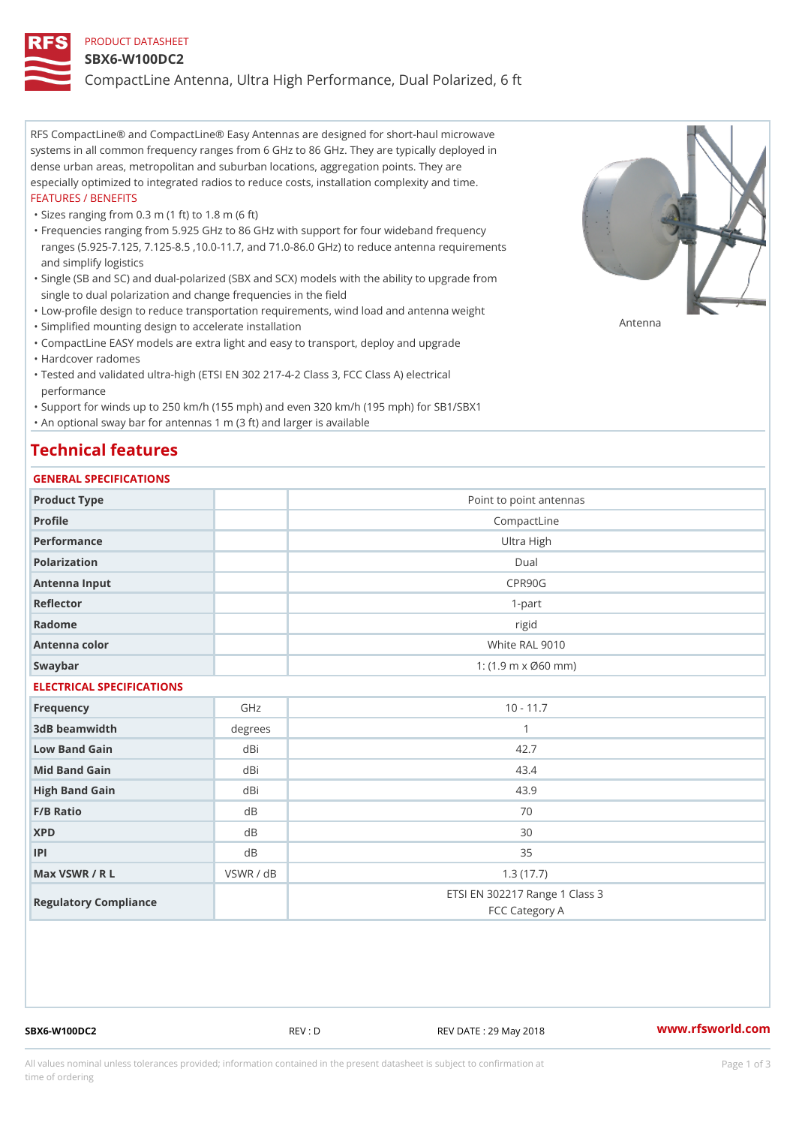#### PRODUCT DATASHEET

#### SBX6-W100DC2

CompactLine Antenna, Ultra High Performance, Dual Polarized, 6 ft

RFS CompactLine® and CompactLine® Easy Antennas are designed for short-haul microwave systems in all common frequency ranges from 6 GHz to 86 GHz. They are typically deployed in dense urban areas, metropolitan and suburban locations, aggregation points. They are especially optimized to integrated radios to reduce costs, installation complexity and time. FEATURES / BENEFITS

"Sizes ranging from 0.3 m (1 ft) to 1.8 m (6 ft)

- Frequencies ranging from 5.925 GHz to 86 GHz with support for four wideband frequency " ranges (5.925-7.125, 7.125-8.5 ,10.0-11.7, and 71.0-86.0 GHz) to reduce antenna requirements and simplify logistics
- Single (SB and SC) and dual-polarized (SBX and SCX) models with the ability to upgrade from " single to dual polarization and change frequencies in the field
- "Low-profile design to reduce transportation requirements, wind load and antenna weight
- "Simplified mounting design to accelerate installation

 "CompactLine EASY models are extra light and easy to transport, deploy and upgrade "Hardcover radomes

Tested and validated ultra-high (ETSI EN 302 217-4-2 Class 3, FCC Class A) electrical " performance

 "Support for winds up to 250 km/h (155 mph) and even 320 km/h (195 mph) for SB1/SBX1 "An optional sway bar for antennas 1 m (3 ft) and larger is available

# Technical features

## GENERAL SPECIFICATIONS

| GENERAL SELGIFICATIONS    |             |                                                         |  |  |
|---------------------------|-------------|---------------------------------------------------------|--|--|
| Product Type              |             | Point to point antennas                                 |  |  |
| Profile                   | CompactLine |                                                         |  |  |
| Performance               |             | Ultra High                                              |  |  |
| Polarization              |             | $D$ ual                                                 |  |  |
| Antenna Input             |             | CPR90G                                                  |  |  |
| Reflector                 |             | $1 - p$ art                                             |  |  |
| Radome                    |             | rigid                                                   |  |  |
| Antenna color             |             | White RAL 9010                                          |  |  |
| Swaybar                   |             | 1: $(1.9 \, \text{m} \times \emptyset 60 \, \text{mm})$ |  |  |
| ELECTRICAL SPECIFICATIONS |             |                                                         |  |  |
| Frequency                 | GHz         | $10 - 11.7$                                             |  |  |
| 3dB beamwidth             | degree:     | $\mathbf{1}$                                            |  |  |
| Low Band Gain             | dBi         | 42.7                                                    |  |  |
| Mid Band Gain             | dBi         | 43.4                                                    |  |  |
| High Band Gain            | dBi         | 43.9                                                    |  |  |
| F/B Ratio                 | d B         | 70                                                      |  |  |
| <b>XPD</b>                | d B         | 30                                                      |  |  |
| P                         | d B         | 35                                                      |  |  |
| Max VSWR / R L            | VSWR / dB   | 1.3(17.7)                                               |  |  |
| Regulatory Compliance     |             | ETSI EN 302217 Range 1 Class 3<br>FCC Category A        |  |  |

SBX6-W100DC2 REV : D REV DATE : 29 May 2018 [www.](https://www.rfsworld.com)rfsworld.com

Antenna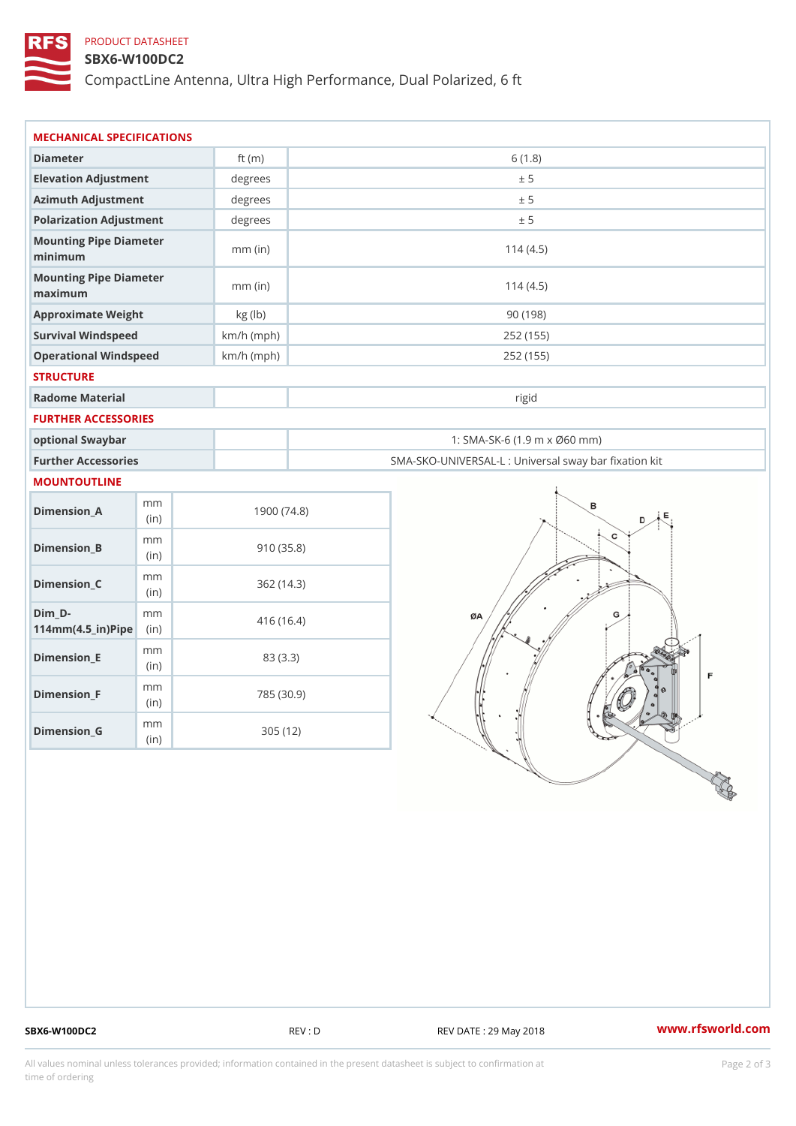## PRODUCT DATASHEET

#### SBX6-W100DC2

CompactLine Antenna, Ultra High Performance, Dual Polarized, 6 ft

| MECHANICAL SPECIFICATIONS                                                      |              |                                                   |  |
|--------------------------------------------------------------------------------|--------------|---------------------------------------------------|--|
| Diameter                                                                       | ft $(m)$     | 6(1.8)                                            |  |
| Elevation Adjustment                                                           | degrees      | ± 5                                               |  |
| Azimuth Adjustment                                                             | degrees      | ± 5                                               |  |
| Polarization Adjustment                                                        | degrees      | ± 5                                               |  |
| Mounting Pipe Diameter<br>minimum                                              | $mm$ (in)    | 114(4.5)                                          |  |
| Mounting Pipe Diameter<br>maximum                                              | $mm$ (in)    | 114(4.5)                                          |  |
| Approximate Weight                                                             | kg (lb)      | 90(198)                                           |  |
| Survival Windspeed                                                             | $km/h$ (mph) | 252 (155)                                         |  |
| Operational Windspeed                                                          | $km/h$ (mph) | 252 (155)                                         |  |
| <b>STRUCTURE</b>                                                               |              |                                                   |  |
| Radome Material                                                                |              | rigid                                             |  |
| FURTHER ACCESSORIES                                                            |              |                                                   |  |
| optional Swaybar                                                               |              | 1: SMA-SK-6 (1.9 m x Ø60 mm)                      |  |
| Further Accessories                                                            |              | SMA-SKO-UNIVERSAL-L : Universal sway bar fixation |  |
| MOUNTOUTLINE                                                                   |              |                                                   |  |
| m m<br>$Dimension_A$<br>(in)                                                   | 1900(74.8)   |                                                   |  |
| m m<br>$Dimension_B$<br>(in)                                                   | 910(35.8)    |                                                   |  |
| m m<br>$Dimenision_C$<br>(in)                                                  | 362(14.3)    |                                                   |  |
| $Dim_D - D -$<br>m m<br>$114$ m m (4.5 _ ir ) $\sqrt{$ ii p $\sqrt{$ $\approx$ | 416 (16.4)   |                                                   |  |
| m m<br>$Dimension$ <sub>_</sub> $E$<br>(in)                                    | 83 (3.3)     |                                                   |  |
| m m<br>$Dimension_F$<br>(in)                                                   | 785 (30.9)   |                                                   |  |
| m m<br>$D$ imension_G<br>(in)                                                  | 305 (12)     |                                                   |  |

SBX6-W100DC2 REV : D REV DATE : 29 May 2018 WWW.rfsworld.com